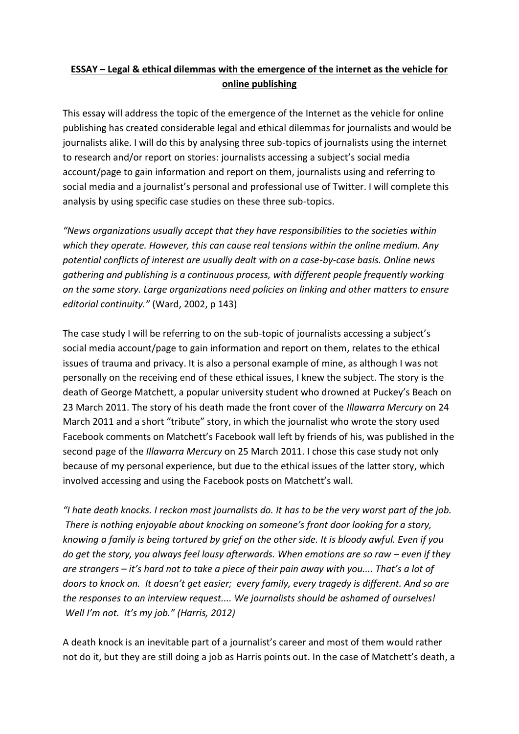# **ESSAY – Legal & ethical dilemmas with the emergence of the internet as the vehicle for online publishing**

This essay will address the topic of the emergence of the Internet as the vehicle for online publishing has created considerable legal and ethical dilemmas for journalists and would be journalists alike. I will do this by analysing three sub-topics of journalists using the internet to research and/or report on stories: journalists accessing a subject's social media account/page to gain information and report on them, journalists using and referring to social media and a journalist's personal and professional use of Twitter. I will complete this analysis by using specific case studies on these three sub-topics.

*"News organizations usually accept that they have responsibilities to the societies within which they operate. However, this can cause real tensions within the online medium. Any potential conflicts of interest are usually dealt with on a case-by-case basis. Online news gathering and publishing is a continuous process, with different people frequently working on the same story. Large organizations need policies on linking and other matters to ensure editorial continuity."* (Ward, 2002, p 143)

The case study I will be referring to on the sub-topic of journalists accessing a subject's social media account/page to gain information and report on them, relates to the ethical issues of trauma and privacy. It is also a personal example of mine, as although I was not personally on the receiving end of these ethical issues, I knew the subject. The story is the death of George Matchett, a popular university student who drowned at Puckey's Beach on 23 March 2011. The story of his death made the front cover of the *Illawarra Mercury* on 24 March 2011 and a short "tribute" story, in which the journalist who wrote the story used Facebook comments on Matchett's Facebook wall left by friends of his, was published in the second page of the *Illawarra Mercury* on 25 March 2011. I chose this case study not only because of my personal experience, but due to the ethical issues of the latter story, which involved accessing and using the Facebook posts on Matchett's wall.

*"I [hate death knocks.](http://www.mamamia.com.au/news/why-cant-we-turn-away-from-grief/) I reckon most journalists do. It has to be the very worst part of the job. There is nothing enjoyable about knocking on someone's front door looking for a story, knowing a family is being tortured by grief on the other side. It is bloody awful. Even if you do get the story, you always feel lousy afterwards. When emotions are so raw – even if they are strangers – it's hard not to take a piece of their pain away with you.... That's a lot of doors to knock on. It doesn't get easier; every family, every tragedy is different. And so are the responses to an interview request.... We journalists should be ashamed of ourselves! Well I'm not. It's my job." (Harris, 2012)*

A death knock is an inevitable part of a journalist's career and most of them would rather not do it, but they are still doing a job as Harris points out. In the case of Matchett's death, a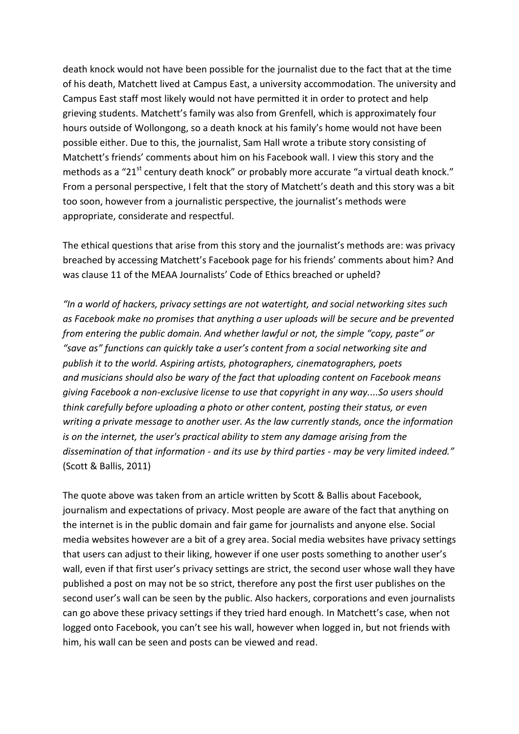death knock would not have been possible for the journalist due to the fact that at the time of his death, Matchett lived at Campus East, a university accommodation. The university and Campus East staff most likely would not have permitted it in order to protect and help grieving students. Matchett's family was also from Grenfell, which is approximately four hours outside of Wollongong, so a death knock at his family's home would not have been possible either. Due to this, the journalist, Sam Hall wrote a tribute story consisting of Matchett's friends' comments about him on his Facebook wall. I view this story and the methods as a "21 $^{\rm st}$  century death knock" or probably more accurate "a virtual death knock." From a personal perspective, I felt that the story of Matchett's death and this story was a bit too soon, however from a journalistic perspective, the journalist's methods were appropriate, considerate and respectful.

The ethical questions that arise from this story and the journalist's methods are: was privacy breached by accessing Matchett's Facebook page for his friends' comments about him? And was clause 11 of the MEAA Journalists' Code of Ethics breached or upheld?

*"In a world of hackers, privacy settings are not watertight, and social networking sites such as Facebook make no promises that anything a user uploads will be secure and be prevented from entering the public domain. And whether lawful or not, the simple "copy, paste" or "save as" functions can quickly take a user's content from a social networking site and publish it to the world. Aspiring artists, photographers, cinematographers, poets and musicians should also be wary of the fact that uploading content on Facebook means giving Facebook a non-exclusive license to use that copyright in any way....So users should think carefully before uploading a photo or other content, posting their status, or even writing a private message to another user. As the law currently stands, once the information is on the internet, the user's practical ability to stem any damage arising from the dissemination of that information - and its use by third parties - may be very limited indeed."* (Scott & Ballis, 2011)

The quote above was taken from an article written by Scott & Ballis about Facebook, journalism and expectations of privacy. Most people are aware of the fact that anything on the internet is in the public domain and fair game for journalists and anyone else. Social media websites however are a bit of a grey area. Social media websites have privacy settings that users can adjust to their liking, however if one user posts something to another user's wall, even if that first user's privacy settings are strict, the second user whose wall they have published a post on may not be so strict, therefore any post the first user publishes on the second user's wall can be seen by the public. Also hackers, corporations and even journalists can go above these privacy settings if they tried hard enough. In Matchett's case, when not logged onto Facebook, you can't see his wall, however when logged in, but not friends with him, his wall can be seen and posts can be viewed and read.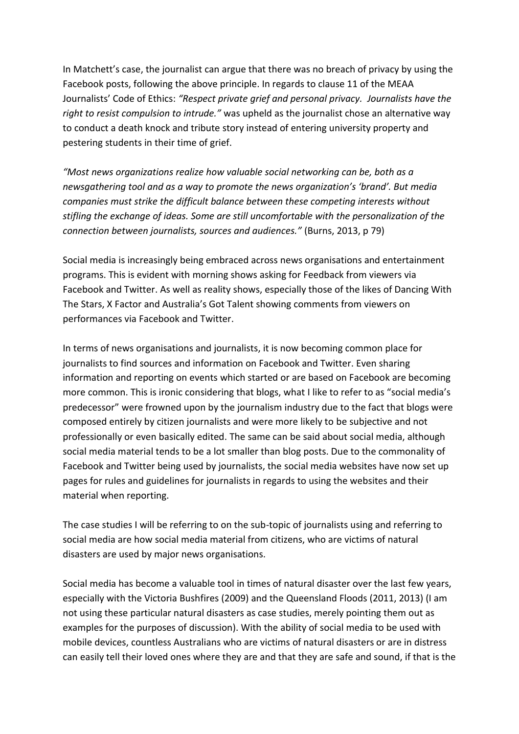In Matchett's case, the journalist can argue that there was no breach of privacy by using the Facebook posts, following the above principle. In regards to clause 11 of the MEAA Journalists' Code of Ethics: *"Respect private grief and personal privacy. Journalists have the right to resist compulsion to intrude."* was upheld as the journalist chose an alternative way to conduct a death knock and tribute story instead of entering university property and pestering students in their time of grief.

*"Most news organizations realize how valuable social networking can be, both as a newsgathering tool and as a way to promote the news organization's 'brand'. But media companies must strike the difficult balance between these competing interests without stifling the exchange of ideas. Some are still uncomfortable with the personalization of the connection between journalists, sources and audiences."* (Burns, 2013, p 79)

Social media is increasingly being embraced across news organisations and entertainment programs. This is evident with morning shows asking for Feedback from viewers via Facebook and Twitter. As well as reality shows, especially those of the likes of Dancing With The Stars, X Factor and Australia's Got Talent showing comments from viewers on performances via Facebook and Twitter.

In terms of news organisations and journalists, it is now becoming common place for journalists to find sources and information on Facebook and Twitter. Even sharing information and reporting on events which started or are based on Facebook are becoming more common. This is ironic considering that blogs, what I like to refer to as "social media's predecessor" were frowned upon by the journalism industry due to the fact that blogs were composed entirely by citizen journalists and were more likely to be subjective and not professionally or even basically edited. The same can be said about social media, although social media material tends to be a lot smaller than blog posts. Due to the commonality of Facebook and Twitter being used by journalists, the social media websites have now set up pages for rules and guidelines for journalists in regards to using the websites and their material when reporting.

The case studies I will be referring to on the sub-topic of journalists using and referring to social media are how social media material from citizens, who are victims of natural disasters are used by major news organisations.

Social media has become a valuable tool in times of natural disaster over the last few years, especially with the Victoria Bushfires (2009) and the Queensland Floods (2011, 2013) (I am not using these particular natural disasters as case studies, merely pointing them out as examples for the purposes of discussion). With the ability of social media to be used with mobile devices, countless Australians who are victims of natural disasters or are in distress can easily tell their loved ones where they are and that they are safe and sound, if that is the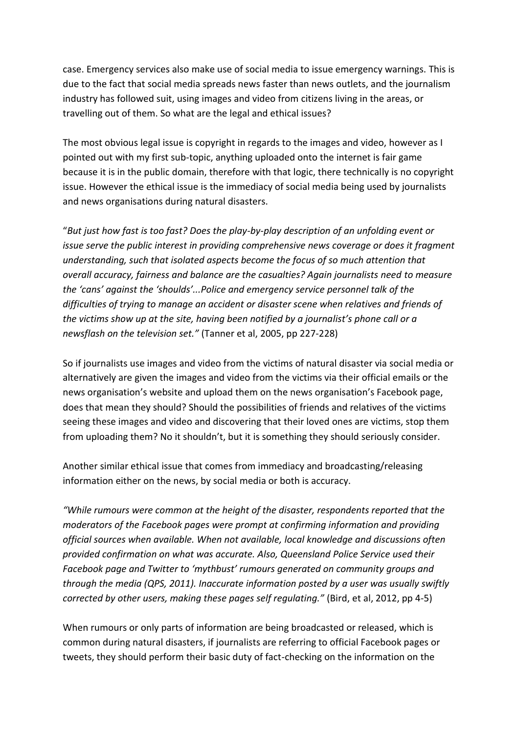case. Emergency services also make use of social media to issue emergency warnings. This is due to the fact that social media spreads news faster than news outlets, and the journalism industry has followed suit, using images and video from citizens living in the areas, or travelling out of them. So what are the legal and ethical issues?

The most obvious legal issue is copyright in regards to the images and video, however as I pointed out with my first sub-topic, anything uploaded onto the internet is fair game because it is in the public domain, therefore with that logic, there technically is no copyright issue. However the ethical issue is the immediacy of social media being used by journalists and news organisations during natural disasters.

"*But just how fast is too fast? Does the play-by-play description of an unfolding event or issue serve the public interest in providing comprehensive news coverage or does it fragment understanding, such that isolated aspects become the focus of so much attention that overall accuracy, fairness and balance are the casualties? Again journalists need to measure the 'cans' against the 'shoulds'...Police and emergency service personnel talk of the difficulties of trying to manage an accident or disaster scene when relatives and friends of the victims show up at the site, having been notified by a journalist's phone call or a newsflash on the television set."* (Tanner et al, 2005, pp 227-228)

So if journalists use images and video from the victims of natural disaster via social media or alternatively are given the images and video from the victims via their official emails or the news organisation's website and upload them on the news organisation's Facebook page, does that mean they should? Should the possibilities of friends and relatives of the victims seeing these images and video and discovering that their loved ones are victims, stop them from uploading them? No it shouldn't, but it is something they should seriously consider.

Another similar ethical issue that comes from immediacy and broadcasting/releasing information either on the news, by social media or both is accuracy.

*"While rumours were common at the height of the disaster, respondents reported that the moderators of the Facebook pages were prompt at confirming information and providing official sources when available. When not available, local knowledge and discussions often provided confirmation on what was accurate. Also, Queensland Police Service used their Facebook page and Twitter to 'mythbust' rumours generated on community groups and through the media (QPS, 2011). Inaccurate information posted by a user was usually swiftly corrected by other users, making these pages self regulating."* (Bird, et al, 2012, pp 4-5)

When rumours or only parts of information are being broadcasted or released, which is common during natural disasters, if journalists are referring to official Facebook pages or tweets, they should perform their basic duty of fact-checking on the information on the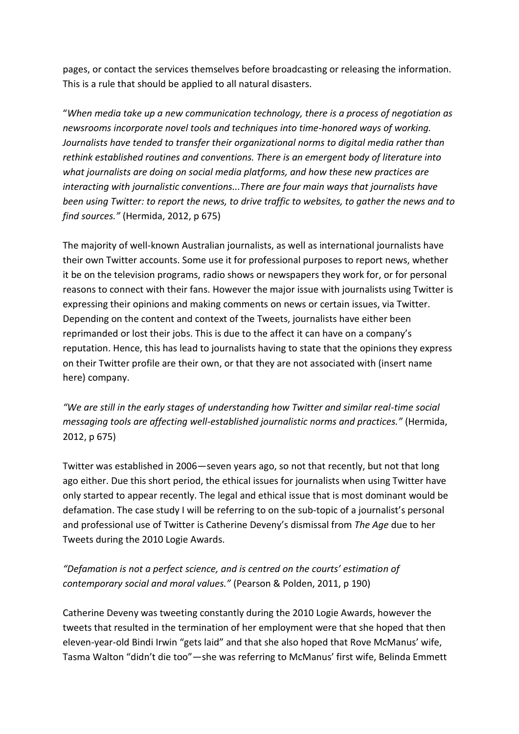pages, or contact the services themselves before broadcasting or releasing the information. This is a rule that should be applied to all natural disasters.

"*When media take up a new communication technology, there is a process of negotiation as newsrooms incorporate novel tools and techniques into time-honored ways of working. Journalists have tended to transfer their organizational norms to digital media rather than rethink established routines and conventions. There is an emergent body of literature into what journalists are doing on social media platforms, and how these new practices are interacting with journalistic conventions...There are four main ways that journalists have been using Twitter: to report the news, to drive traffic to websites, to gather the news and to find sources."* (Hermida, 2012, p 675)

The majority of well-known Australian journalists, as well as international journalists have their own Twitter accounts. Some use it for professional purposes to report news, whether it be on the television programs, radio shows or newspapers they work for, or for personal reasons to connect with their fans. However the major issue with journalists using Twitter is expressing their opinions and making comments on news or certain issues, via Twitter. Depending on the content and context of the Tweets, journalists have either been reprimanded or lost their jobs. This is due to the affect it can have on a company's reputation. Hence, this has lead to journalists having to state that the opinions they express on their Twitter profile are their own, or that they are not associated with (insert name here) company.

*"We are still in the early stages of understanding how Twitter and similar real-time social messaging tools are affecting well-established journalistic norms and practices."* (Hermida, 2012, p 675)

Twitter was established in 2006—seven years ago, so not that recently, but not that long ago either. Due this short period, the ethical issues for journalists when using Twitter have only started to appear recently. The legal and ethical issue that is most dominant would be defamation. The case study I will be referring to on the sub-topic of a journalist's personal and professional use of Twitter is Catherine Deveny's dismissal from *The Age* due to her Tweets during the 2010 Logie Awards.

# *"Defamation is not a perfect science, and is centred on the courts' estimation of contemporary social and moral values."* (Pearson & Polden, 2011, p 190)

Catherine Deveny was tweeting constantly during the 2010 Logie Awards, however the tweets that resulted in the termination of her employment were that she hoped that then eleven-year-old Bindi Irwin "gets laid" and that she also hoped that Rove McManus' wife, Tasma Walton "didn't die too"—she was referring to McManus' first wife, Belinda Emmett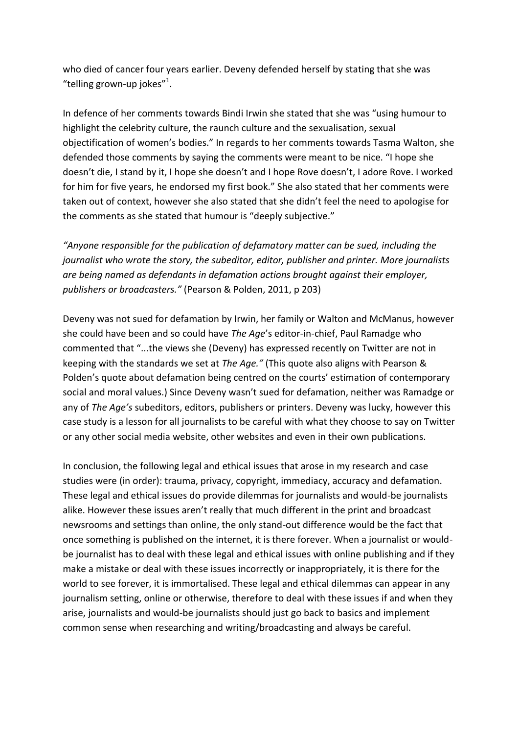who died of cancer four years earlier. Deveny defended herself by stating that she was "telling grown-up jokes"<sup>1</sup>.

In defence of her comments towards Bindi Irwin she stated that she was "using humour to highlight the celebrity culture, the raunch culture and the sexualisation, sexual objectification of women's bodies." In regards to her comments towards Tasma Walton, she defended those comments by saying the comments were meant to be nice. "I hope she doesn't die, I stand by it, I hope she doesn't and I hope Rove doesn't, I adore Rove. I worked for him for five years, he endorsed my first book." She also stated that her comments were taken out of context, however she also stated that she didn't feel the need to apologise for the comments as she stated that humour is "deeply subjective."

*"Anyone responsible for the publication of defamatory matter can be sued, including the journalist who wrote the story, the subeditor, editor, publisher and printer. More journalists are being named as defendants in defamation actions brought against their employer, publishers or broadcasters."* (Pearson & Polden, 2011, p 203)

Deveny was not sued for defamation by Irwin, her family or Walton and McManus, however she could have been and so could have *The Age*'s editor-in-chief, Paul Ramadge who commented that "...the views she (Deveny) has expressed recently on Twitter are not in keeping with the standards we set at *The Age."* (This quote also aligns with Pearson & Polden's quote about defamation being centred on the courts' estimation of contemporary social and moral values.) Since Deveny wasn't sued for defamation, neither was Ramadge or any of *The Age's* subeditors, editors, publishers or printers. Deveny was lucky, however this case study is a lesson for all journalists to be careful with what they choose to say on Twitter or any other social media website, other websites and even in their own publications.

In conclusion, the following legal and ethical issues that arose in my research and case studies were (in order): trauma, privacy, copyright, immediacy, accuracy and defamation. These legal and ethical issues do provide dilemmas for journalists and would-be journalists alike. However these issues aren't really that much different in the print and broadcast newsrooms and settings than online, the only stand-out difference would be the fact that once something is published on the internet, it is there forever. When a journalist or wouldbe journalist has to deal with these legal and ethical issues with online publishing and if they make a mistake or deal with these issues incorrectly or inappropriately, it is there for the world to see forever, it is immortalised. These legal and ethical dilemmas can appear in any journalism setting, online or otherwise, therefore to deal with these issues if and when they arise, journalists and would-be journalists should just go back to basics and implement common sense when researching and writing/broadcasting and always be careful.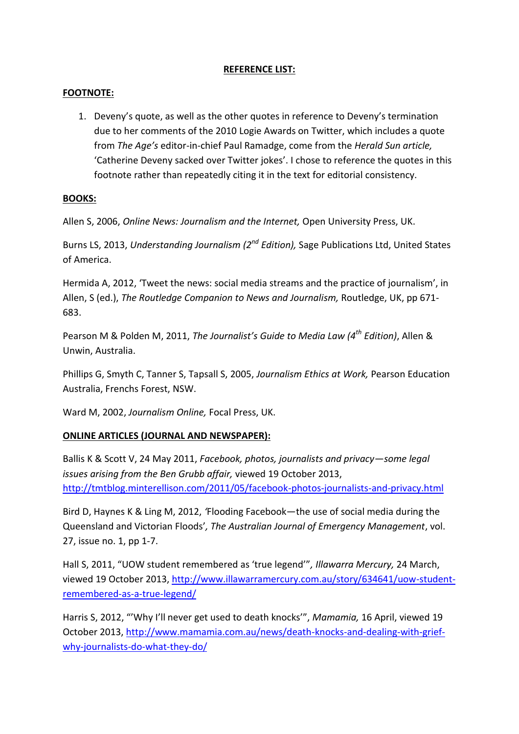### **REFERENCE LIST:**

#### **FOOTNOTE:**

1. Deveny's quote, as well as the other quotes in reference to Deveny's termination due to her comments of the 2010 Logie Awards on Twitter, which includes a quote from *The Age's* editor-in-chief Paul Ramadge, come from the *Herald Sun article,*  'Catherine Deveny sacked over Twitter jokes'. I chose to reference the quotes in this footnote rather than repeatedly citing it in the text for editorial consistency.

### **BOOKS:**

Allen S, 2006, *Online News: Journalism and the Internet,* Open University Press, UK.

Burns LS, 2013, *Understanding Journalism (2nd Edition),* Sage Publications Ltd, United States of America.

Hermida A, 2012, 'Tweet the news: social media streams and the practice of journalism', in Allen, S (ed.), *The Routledge Companion to News and Journalism,* Routledge, UK, pp 671- 683.

Pearson M & Polden M, 2011, *The Journalist's Guide to Media Law (4th Edition)*, Allen & Unwin, Australia.

Phillips G, Smyth C, Tanner S, Tapsall S, 2005, *Journalism Ethics at Work,* Pearson Education Australia, Frenchs Forest, NSW.

Ward M, 2002, *Journalism Online,* Focal Press, UK.

## **ONLINE ARTICLES (JOURNAL AND NEWSPAPER):**

Ballis K & Scott V, 24 May 2011, *Facebook, photos, journalists and privacy—some legal issues arising from the Ben Grubb affair,* viewed 19 October 2013, <http://tmtblog.minterellison.com/2011/05/facebook-photos-journalists-and-privacy.html>

Bird D, Haynes K & Ling M, 2012, *'*Flooding Facebook—the use of social media during the Queensland and Victorian Floods'*, The Australian Journal of Emergency Management*, vol. 27, issue no. 1, pp 1-7.

Hall S, 2011, "UOW student remembered as 'true legend'"*, Illawarra Mercury,* 24 March, viewed 19 October 2013, [http://www.illawarramercury.com.au/story/634641/uow-student](http://www.illawarramercury.com.au/story/634641/uow-student-remembered-as-a-true-legend/)[remembered-as-a-true-legend/](http://www.illawarramercury.com.au/story/634641/uow-student-remembered-as-a-true-legend/)

Harris S, 2012, "'Why I'll never get used to death knocks'", *Mamamia,* 16 April, viewed 19 October 2013, [http://www.mamamia.com.au/news/death-knocks-and-dealing-with-grief](http://www.mamamia.com.au/news/death-knocks-and-dealing-with-grief-why-journalists-do-what-they-do/)[why-journalists-do-what-they-do/](http://www.mamamia.com.au/news/death-knocks-and-dealing-with-grief-why-journalists-do-what-they-do/)